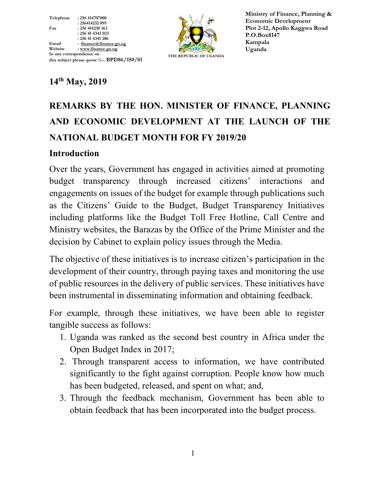Telephone : 256 414707000 : 256414232 095 Fax : 256 414230 163 : 256 41 4343 023 : 256 41 4341 286<br>Email : finance@finan Email : finance@finance.go.ug<br>Website : www.finance.go.ug : www.finance.go.ug In any correspondence on this subject please quote No. BPD86/150/01



Ministry of Finance, Planning & Economic Development Plot 2-12, Apollo Kaggwa Road P.O.Box8147 Kampala Uganda

## 14th May, 2019

# REMARKS BY THE HON. MINISTER OF FINANCE, PLANNING AND ECONOMIC DEVELOPMENT AT THE LAUNCH OF THE NATIONAL BUDGET MONTH FOR FY 2019/20

#### Introduction

Over the years, Government has engaged in activities aimed at promoting budget transparency through increased citizens' interactions and engagements on issues of the budget for example through publications such as the Citizens' Guide to the Budget, Budget Transparency Initiatives including platforms like the Budget Toll Free Hotline, Call Centre and Ministry websites, the Barazas by the Office of the Prime Minister and the decision by Cabinet to explain policy issues through the Media.

The objective of these initiatives is to increase citizen's participation in the development of their country, through paying taxes and monitoring the use of public resources in the delivery of public services. These initiatives have been instrumental in disseminating information and obtaining feedback.

For example, through these initiatives, we have been able to register tangible success as follows:

- 1. Uganda was ranked as the second best country in Africa under the Open Budget Index in 2017;
- 2. Through transparent access to information, we have contributed significantly to the fight against corruption. People know how much has been budgeted, released, and spent on what; and,
- 3. Through the feedback mechanism, Government has been able to obtain feedback that has been incorporated into the budget process.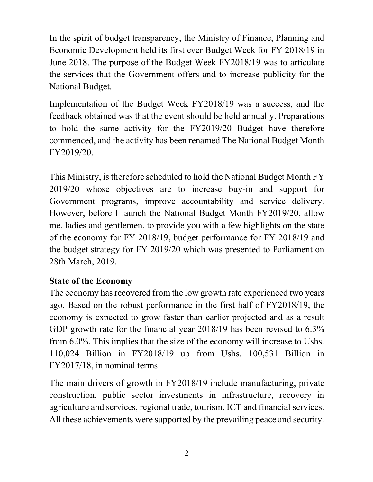In the spirit of budget transparency, the Ministry of Finance, Planning and Economic Development held its first ever Budget Week for FY 2018/19 in June 2018. The purpose of the Budget Week FY2018/19 was to articulate the services that the Government offers and to increase publicity for the National Budget.

Implementation of the Budget Week FY2018/19 was a success, and the feedback obtained was that the event should be held annually. Preparations to hold the same activity for the FY2019/20 Budget have therefore commenced, and the activity has been renamed The National Budget Month FY2019/20.

This Ministry, is therefore scheduled to hold the National Budget Month FY 2019/20 whose objectives are to increase buy-in and support for Government programs, improve accountability and service delivery. However, before I launch the National Budget Month FY2019/20, allow me, ladies and gentlemen, to provide you with a few highlights on the state of the economy for FY 2018/19, budget performance for FY 2018/19 and the budget strategy for FY 2019/20 which was presented to Parliament on 28th March, 2019.

#### State of the Economy

The economy has recovered from the low growth rate experienced two years ago. Based on the robust performance in the first half of FY2018/19, the economy is expected to grow faster than earlier projected and as a result GDP growth rate for the financial year 2018/19 has been revised to 6.3% from 6.0%. This implies that the size of the economy will increase to Ushs. 110,024 Billion in FY2018/19 up from Ushs. 100,531 Billion in FY2017/18, in nominal terms.

The main drivers of growth in FY2018/19 include manufacturing, private construction, public sector investments in infrastructure, recovery in agriculture and services, regional trade, tourism, ICT and financial services. All these achievements were supported by the prevailing peace and security.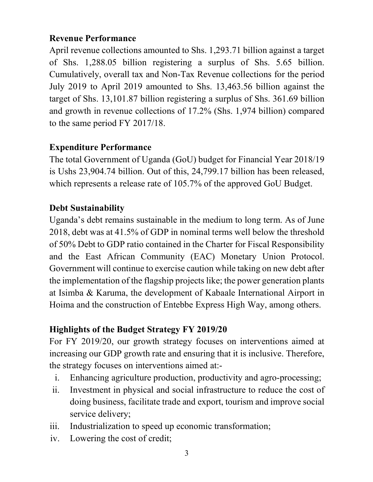### Revenue Performance

April revenue collections amounted to Shs. 1,293.71 billion against a target of Shs. 1,288.05 billion registering a surplus of Shs. 5.65 billion. Cumulatively, overall tax and Non-Tax Revenue collections for the period July 2019 to April 2019 amounted to Shs. 13,463.56 billion against the target of Shs. 13,101.87 billion registering a surplus of Shs. 361.69 billion and growth in revenue collections of 17.2% (Shs. 1,974 billion) compared to the same period FY 2017/18.

#### Expenditure Performance

The total Government of Uganda (GoU) budget for Financial Year 2018/19 is Ushs 23,904.74 billion. Out of this, 24,799.17 billion has been released, which represents a release rate of 105.7% of the approved GoU Budget.

#### Debt Sustainability

Uganda's debt remains sustainable in the medium to long term. As of June 2018, debt was at 41.5% of GDP in nominal terms well below the threshold of 50% Debt to GDP ratio contained in the Charter for Fiscal Responsibility and the East African Community (EAC) Monetary Union Protocol. Government will continue to exercise caution while taking on new debt after the implementation of the flagship projects like; the power generation plants at Isimba & Karuma, the development of Kabaale International Airport in Hoima and the construction of Entebbe Express High Way, among others.

# Highlights of the Budget Strategy FY 2019/20

For FY 2019/20, our growth strategy focuses on interventions aimed at increasing our GDP growth rate and ensuring that it is inclusive. Therefore, the strategy focuses on interventions aimed at:-

- i. Enhancing agriculture production, productivity and agro-processing;
- ii. Investment in physical and social infrastructure to reduce the cost of doing business, facilitate trade and export, tourism and improve social service delivery;
- iii. Industrialization to speed up economic transformation;
- iv. Lowering the cost of credit;